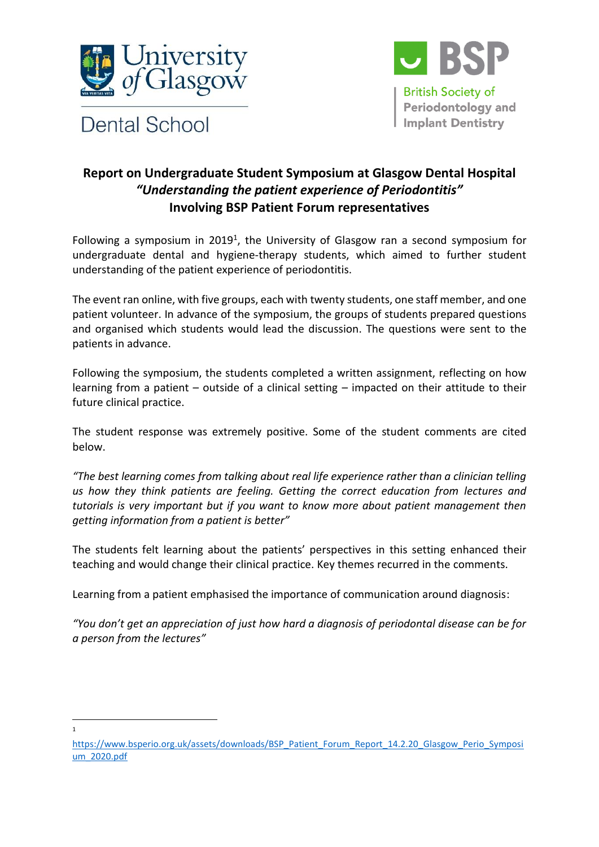



## **Report on Undergraduate Student Symposium at Glasgow Dental Hospital** *"Understanding the patient experience of Periodontitis"* **Involving BSP Patient Forum representatives**

Following a symposium in 2019<sup>1</sup>, the University of Glasgow ran a second symposium for undergraduate dental and hygiene-therapy students, which aimed to further student understanding of the patient experience of periodontitis.

The event ran online, with five groups, each with twenty students, one staff member, and one patient volunteer. In advance of the symposium, the groups of students prepared questions and organised which students would lead the discussion. The questions were sent to the patients in advance.

Following the symposium, the students completed a written assignment, reflecting on how learning from a patient – outside of a clinical setting – impacted on their attitude to their future clinical practice.

The student response was extremely positive. Some of the student comments are cited below.

*"The best learning comes from talking about real life experience rather than a clinician telling us how they think patients are feeling. Getting the correct education from lectures and tutorials is very important but if you want to know more about patient management then getting information from a patient is better"*

The students felt learning about the patients' perspectives in this setting enhanced their teaching and would change their clinical practice. Key themes recurred in the comments.

Learning from a patient emphasised the importance of communication around diagnosis:

*"You don't get an appreciation of just how hard a diagnosis of periodontal disease can be for a person from the lectures"*

1

[https://www.bsperio.org.uk/assets/downloads/BSP\\_Patient\\_Forum\\_Report\\_14.2.20\\_Glasgow\\_Perio\\_Symposi](https://www.bsperio.org.uk/assets/downloads/BSP_Patient_Forum_Report_14.2.20_Glasgow_Perio_Symposium_2020.pdf) [um\\_2020.pdf](https://www.bsperio.org.uk/assets/downloads/BSP_Patient_Forum_Report_14.2.20_Glasgow_Perio_Symposium_2020.pdf)